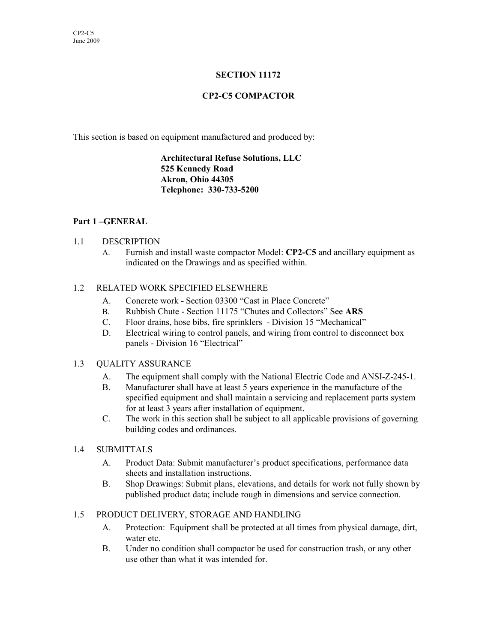# **SECTION 11172**

# **CP2-C5 COMPACTOR**

This section is based on equipment manufactured and produced by:

**Architectural Refuse Solutions, LLC 525 Kennedy Road Akron, Ohio 44305 Telephone: 330-733-5200**

## **Part 1 –GENERAL**

#### 1.1 DESCRIPTION

A. Furnish and install waste compactor Model: **CP2-C5** and ancillary equipment as indicated on the Drawings and as specified within.

### 1.2 RELATED WORK SPECIFIED ELSEWHERE

- A. Concrete work Section 03300 "Cast in Place Concrete"
- B. Rubbish Chute Section 11175 "Chutes and Collectors" See **ARS**
- C. Floor drains, hose bibs, fire sprinklers Division 15 "Mechanical"
- D. Electrical wiring to control panels, and wiring from control to disconnect box panels - Division 16 "Electrical"

#### 1.3 QUALITY ASSURANCE

- A. The equipment shall comply with the National Electric Code and ANSI-Z-245-1.
- B. Manufacturer shall have at least 5 years experience in the manufacture of the specified equipment and shall maintain a servicing and replacement parts system for at least 3 years after installation of equipment.
- C. The work in this section shall be subject to all applicable provisions of governing building codes and ordinances.
- 1.4 SUBMITTALS
	- A. Product Data: Submit manufacturer's product specifications, performance data sheets and installation instructions.
	- B. Shop Drawings: Submit plans, elevations, and details for work not fully shown by published product data; include rough in dimensions and service connection.

#### 1.5 PRODUCT DELIVERY, STORAGE AND HANDLING

- A. Protection: Equipment shall be protected at all times from physical damage, dirt, water etc.
- B. Under no condition shall compactor be used for construction trash, or any other use other than what it was intended for.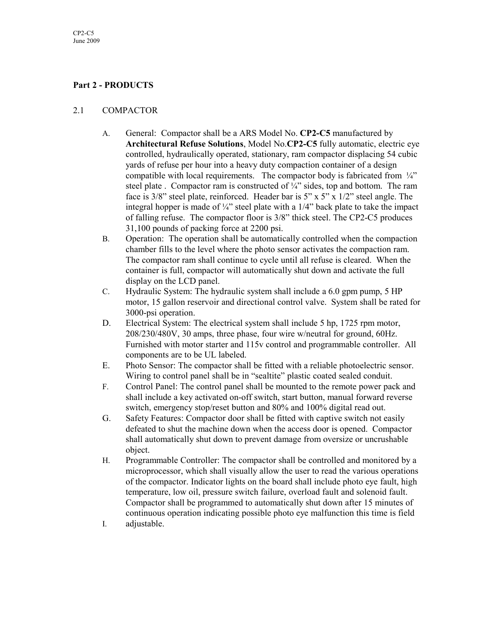# **Part 2 - PRODUCTS**

### 2.1 COMPACTOR

- A. General: Compactor shall be a ARS Model No. **CP2-C5** manufactured by **Architectural Refuse Solutions**, Model No.**CP2-C5** fully automatic, electric eye controlled, hydraulically operated, stationary, ram compactor displacing 54 cubic yards of refuse per hour into a heavy duty compaction container of a design compatible with local requirements. The compactor body is fabricated from  $\frac{1}{4}$ steel plate . Compactor ram is constructed of  $\frac{1}{4}$  sides, top and bottom. The ram face is 3/8" steel plate, reinforced. Header bar is 5" x 5" x 1/2" steel angle. The integral hopper is made of  $\frac{1}{4}$ " steel plate with a  $1/4$ " back plate to take the impact of falling refuse. The compactor floor is 3/8" thick steel. The CP2-C5 produces 31,100 pounds of packing force at 2200 psi.
- B. Operation: The operation shall be automatically controlled when the compaction chamber fills to the level where the photo sensor activates the compaction ram. The compactor ram shall continue to cycle until all refuse is cleared. When the container is full, compactor will automatically shut down and activate the full display on the LCD panel.
- C. Hydraulic System: The hydraulic system shall include a 6.0 gpm pump, 5 HP motor, 15 gallon reservoir and directional control valve. System shall be rated for 3000-psi operation.
- D. Electrical System: The electrical system shall include 5 hp, 1725 rpm motor, 208/230/480V, 30 amps, three phase, four wire w/neutral for ground, 60Hz. Furnished with motor starter and 115v control and programmable controller. All components are to be UL labeled.
- E. Photo Sensor: The compactor shall be fitted with a reliable photoelectric sensor. Wiring to control panel shall be in "sealtite" plastic coated sealed conduit.
- F. Control Panel: The control panel shall be mounted to the remote power pack and shall include a key activated on-off switch, start button, manual forward reverse switch, emergency stop/reset button and 80% and 100% digital read out.
- G. Safety Features: Compactor door shall be fitted with captive switch not easily defeated to shut the machine down when the access door is opened. Compactor shall automatically shut down to prevent damage from oversize or uncrushable object.
- H. Programmable Controller: The compactor shall be controlled and monitored by a microprocessor, which shall visually allow the user to read the various operations of the compactor. Indicator lights on the board shall include photo eye fault, high temperature, low oil, pressure switch failure, overload fault and solenoid fault. Compactor shall be programmed to automatically shut down after 15 minutes of continuous operation indicating possible photo eye malfunction this time is field
- I. adjustable.